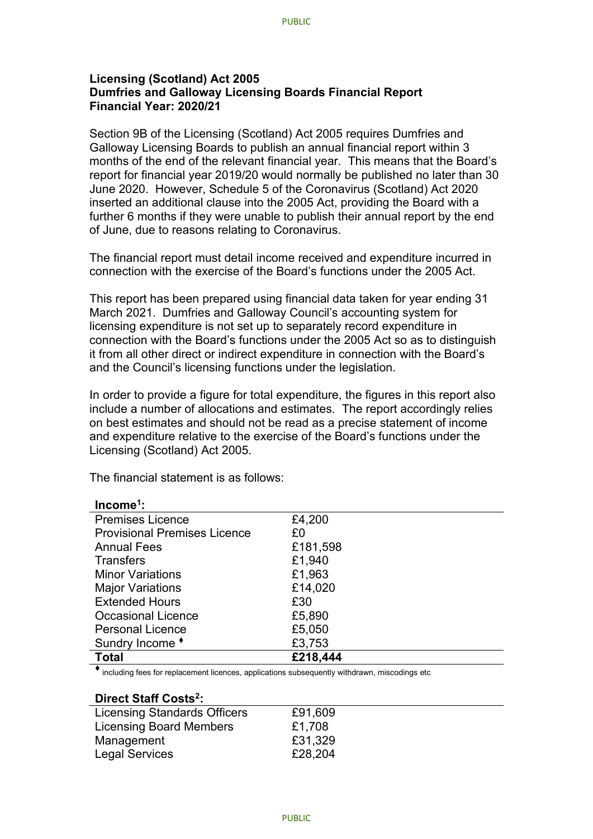## **Licensing (Scotland) Act 2005 Dumfries and Galloway Licensing Boards Financial Report Financial Year: 2020/21**

Section 9B of the Licensing (Scotland) Act 2005 requires Dumfries and Galloway Licensing Boards to publish an annual financial report within 3 months of the end of the relevant financial year. This means that the Board's report for financial year 2019/20 would normally be published no later than 30 June 2020. However, Schedule 5 of the Coronavirus (Scotland) Act 2020 inserted an additional clause into the 2005 Act, providing the Board with a further 6 months if they were unable to publish their annual report by the end of June, due to reasons relating to Coronavirus.

The financial report must detail income received and expenditure incurred in connection with the exercise of the Board's functions under the 2005 Act.

This report has been prepared using financial data taken for year ending 31 March 2021. Dumfries and Galloway Council's accounting system for licensing expenditure is not set up to separately record expenditure in connection with the Board's functions under the 2005 Act so as to distinguish it from all other direct or indirect expenditure in connection with the Board's and the Council's licensing functions under the legislation.

In order to provide a figure for total expenditure, the figures in this report also include a number of allocations and estimates. The report accordingly relies on best estimates and should not be read as a precise statement of income and expenditure relative to the exercise of the Board's functions under the Licensing (Scotland) Act 2005.

The financial statement is as follows:

| $Income1$ :                         |          |
|-------------------------------------|----------|
| <b>Premises Licence</b>             | £4,200   |
| <b>Provisional Premises Licence</b> | £0       |
| <b>Annual Fees</b>                  | £181,598 |
| <b>Transfers</b>                    | £1,940   |
| <b>Minor Variations</b>             | £1,963   |
| <b>Major Variations</b>             | £14,020  |
| <b>Extended Hours</b>               | £30      |
| <b>Occasional Licence</b>           | £5,890   |
| <b>Personal Licence</b>             | £5,050   |
| Sundry Income *                     | £3,753   |
| <b>Total</b>                        | £218,444 |

including fees for replacement licences, applications subsequently withdrawn, miscodings etc

## **Direct Staff Costs2:**

| <b>Licensing Standards Officers</b> | £91,609 |
|-------------------------------------|---------|
| <b>Licensing Board Members</b>      | £1,708  |
| Management                          | £31,329 |
| <b>Legal Services</b>               | £28,204 |